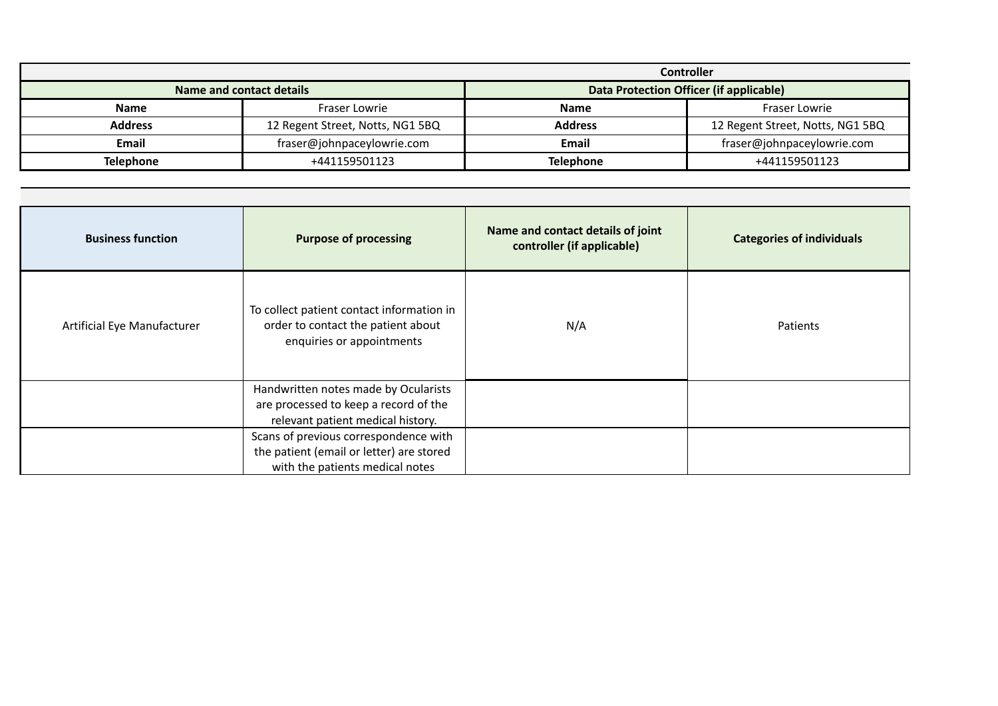|                          | <b>Controller</b>                |                                         |                                  |  |
|--------------------------|----------------------------------|-----------------------------------------|----------------------------------|--|
| Name and contact details |                                  | Data Protection Officer (if applicable) |                                  |  |
| Name                     | Fraser Lowrie                    | <b>Name</b>                             | Fraser Lowrie                    |  |
| <b>Address</b>           | 12 Regent Street, Notts, NG1 5BQ | <b>Address</b>                          | 12 Regent Street, Notts, NG1 5BQ |  |
| Email                    | fraser@johnpaceylowrie.com       | Email                                   | fraser@johnpaceylowrie.com       |  |
| <b>Telephone</b>         | +441159501123                    | <b>Telephone</b>                        | +441159501123                    |  |

| <b>Business function</b>    | <b>Purpose of processing</b>                                                                                         | Name and contact details of joint<br>controller (if applicable) | <b>Categories of individuals</b> |
|-----------------------------|----------------------------------------------------------------------------------------------------------------------|-----------------------------------------------------------------|----------------------------------|
| Artificial Eye Manufacturer | To collect patient contact information in<br>order to contact the patient about<br>enquiries or appointments         | N/A                                                             | Patients                         |
|                             | Handwritten notes made by Ocularists<br>are processed to keep a record of the<br>relevant patient medical history.   |                                                                 |                                  |
|                             | Scans of previous correspondence with<br>the patient (email or letter) are stored<br>with the patients medical notes |                                                                 |                                  |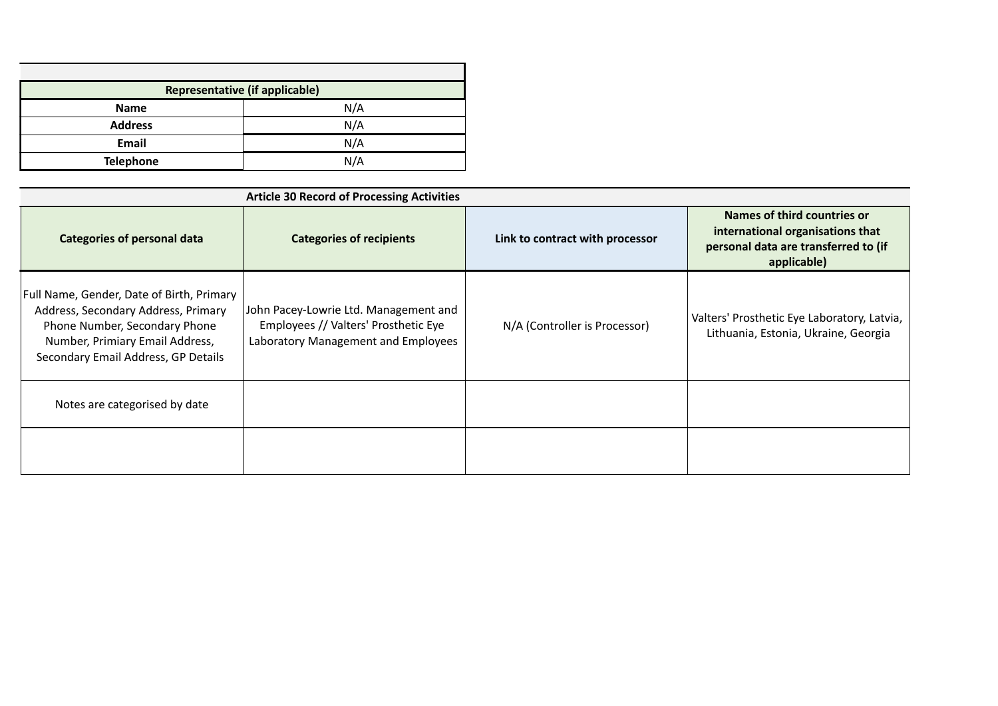| <b>Representative (if applicable)</b> |     |
|---------------------------------------|-----|
| <b>Name</b>                           | N/A |
| <b>Address</b>                        | N/A |
| Email                                 | N/A |
| <b>Telephone</b>                      | N/A |

| <b>Article 30 Record of Processing Activities</b>                                                                                                                                           |                                                                                                                      |                                 |                                                                                                                        |  |  |
|---------------------------------------------------------------------------------------------------------------------------------------------------------------------------------------------|----------------------------------------------------------------------------------------------------------------------|---------------------------------|------------------------------------------------------------------------------------------------------------------------|--|--|
| <b>Categories of personal data</b>                                                                                                                                                          | <b>Categories of recipients</b>                                                                                      | Link to contract with processor | Names of third countries or<br>international organisations that<br>personal data are transferred to (if<br>applicable) |  |  |
| Full Name, Gender, Date of Birth, Primary<br>Address, Secondary Address, Primary<br>Phone Number, Secondary Phone<br>Number, Primiary Email Address,<br>Secondary Email Address, GP Details | John Pacey-Lowrie Ltd. Management and<br>Employees // Valters' Prosthetic Eye<br>Laboratory Management and Employees | N/A (Controller is Processor)   | Valters' Prosthetic Eye Laboratory, Latvia,<br>Lithuania, Estonia, Ukraine, Georgia                                    |  |  |
| Notes are categorised by date                                                                                                                                                               |                                                                                                                      |                                 |                                                                                                                        |  |  |
|                                                                                                                                                                                             |                                                                                                                      |                                 |                                                                                                                        |  |  |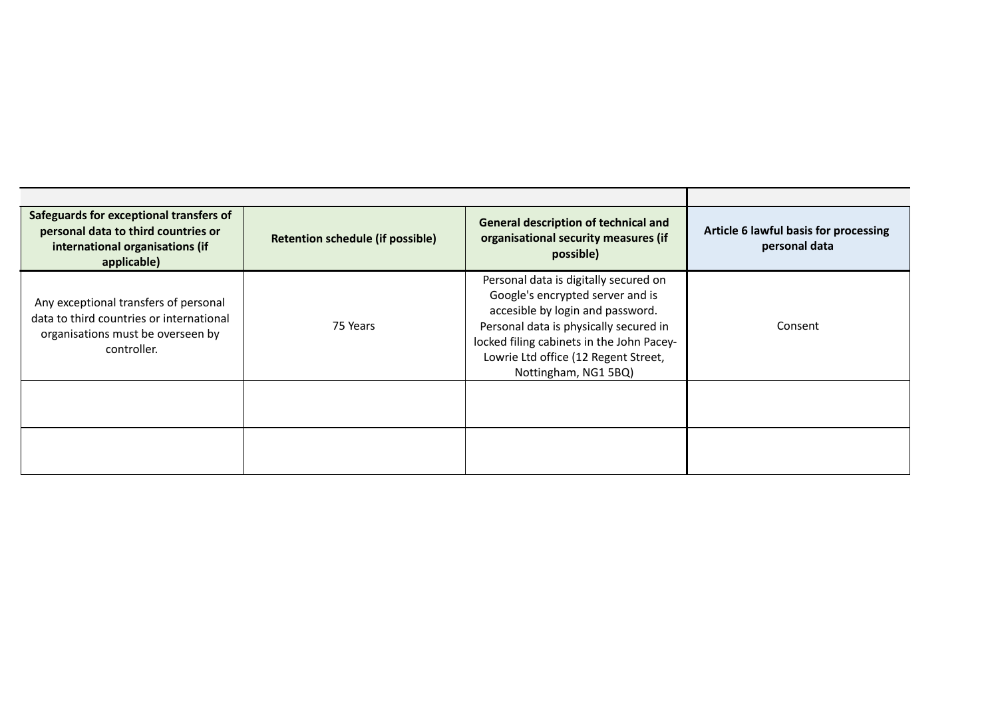| Safeguards for exceptional transfers of $\ $<br><b>General description of technical and</b><br>personal data to third countries or<br>organisational security measures (if<br><b>Retention schedule (if possible)</b><br>international organisations (if<br>personal data<br>possible)<br>applicable)<br>Personal data is digitally secured on<br>Google's encrypted server and is<br>Any exceptional transfers of personal<br>accesible by login and password.<br>data to third countries or international<br>75 Years<br>Personal data is physically secured in<br>Consent<br>organisations must be overseen by<br>locked filing cabinets in the John Pacey-<br>controller.<br>Lowrie Ltd office (12 Regent Street, |                      |                                       |
|-----------------------------------------------------------------------------------------------------------------------------------------------------------------------------------------------------------------------------------------------------------------------------------------------------------------------------------------------------------------------------------------------------------------------------------------------------------------------------------------------------------------------------------------------------------------------------------------------------------------------------------------------------------------------------------------------------------------------|----------------------|---------------------------------------|
|                                                                                                                                                                                                                                                                                                                                                                                                                                                                                                                                                                                                                                                                                                                       |                      | Article 6 lawful basis for processing |
|                                                                                                                                                                                                                                                                                                                                                                                                                                                                                                                                                                                                                                                                                                                       | Nottingham, NG1 5BQ) |                                       |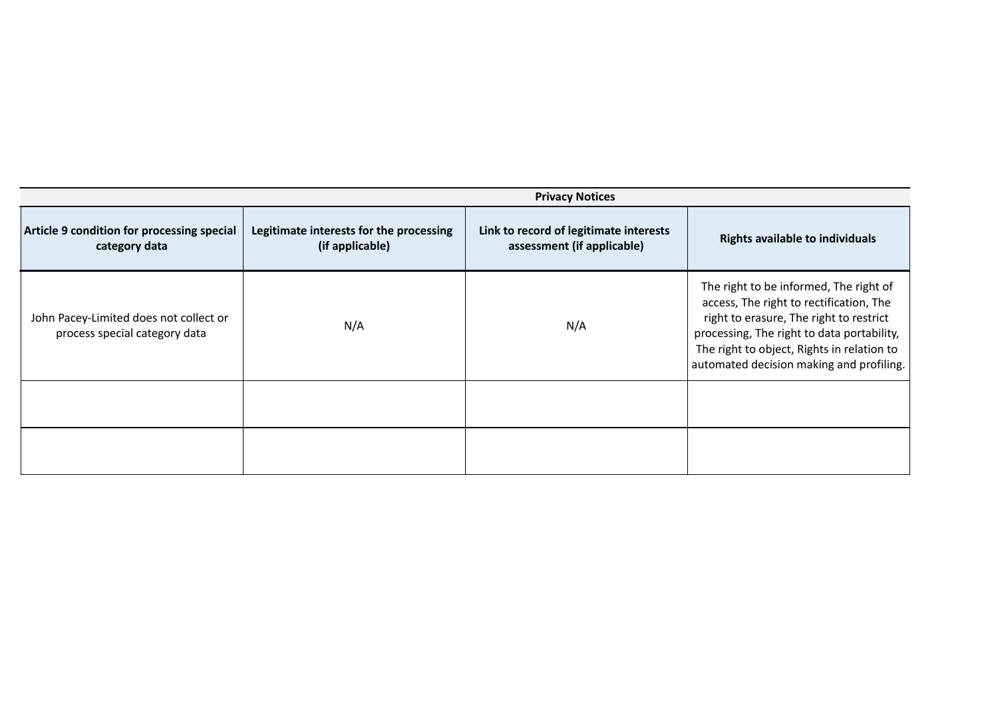|                                                                         | <b>Privacy Notices</b>                                     |                                                                      |                                                                                                                                                                                                                                                                      |
|-------------------------------------------------------------------------|------------------------------------------------------------|----------------------------------------------------------------------|----------------------------------------------------------------------------------------------------------------------------------------------------------------------------------------------------------------------------------------------------------------------|
| Article 9 condition for processing special<br>category data             | Legitimate interests for the processing<br>(if applicable) | Link to record of legitimate interests<br>assessment (if applicable) | <b>Rights available to individuals</b>                                                                                                                                                                                                                               |
| John Pacey-Limited does not collect or<br>process special category data | N/A                                                        | N/A                                                                  | The right to be informed, The right of<br>access, The right to rectification, The<br>right to erasure, The right to restrict<br>processing, The right to data portability,<br>The right to object, Rights in relation to<br>automated decision making and profiling. |
|                                                                         |                                                            |                                                                      |                                                                                                                                                                                                                                                                      |
|                                                                         |                                                            |                                                                      |                                                                                                                                                                                                                                                                      |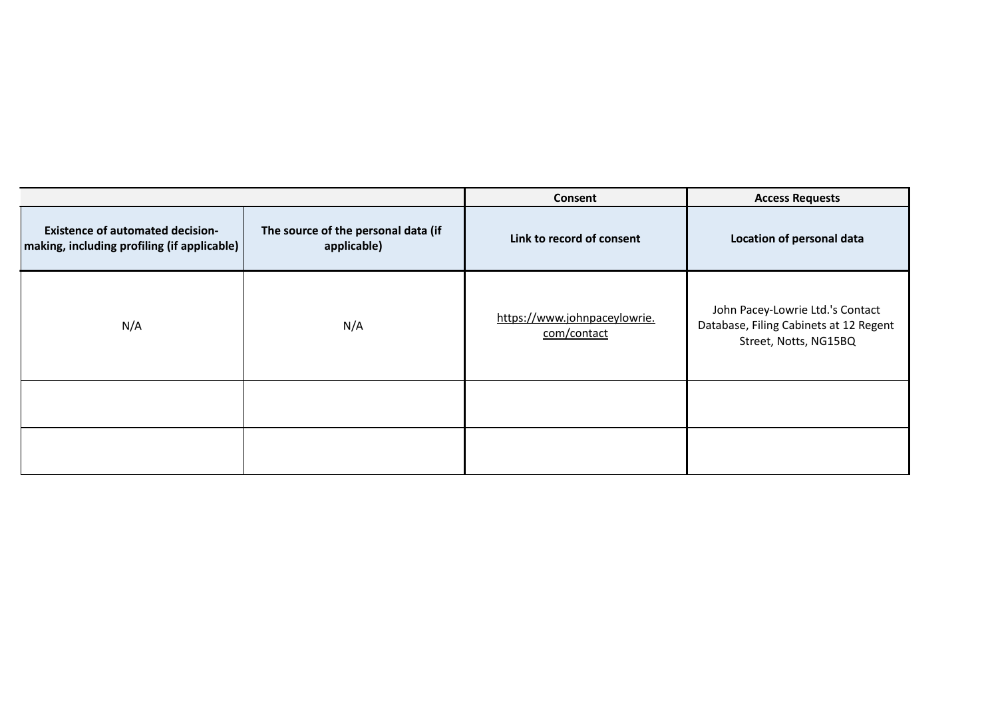|                                                                                          |                                                    | Consent                                     | <b>Access Requests</b>                                                                              |
|------------------------------------------------------------------------------------------|----------------------------------------------------|---------------------------------------------|-----------------------------------------------------------------------------------------------------|
| <b>Existence of automated decision-</b><br>  making, including profiling (if applicable) | The source of the personal data (if<br>applicable) | Link to record of consent                   | Location of personal data                                                                           |
| N/A                                                                                      | N/A                                                | https://www.johnpaceylowrie.<br>com/contact | John Pacey-Lowrie Ltd.'s Contact<br>Database, Filing Cabinets at 12 Regent<br>Street, Notts, NG15BQ |
|                                                                                          |                                                    |                                             |                                                                                                     |
|                                                                                          |                                                    |                                             |                                                                                                     |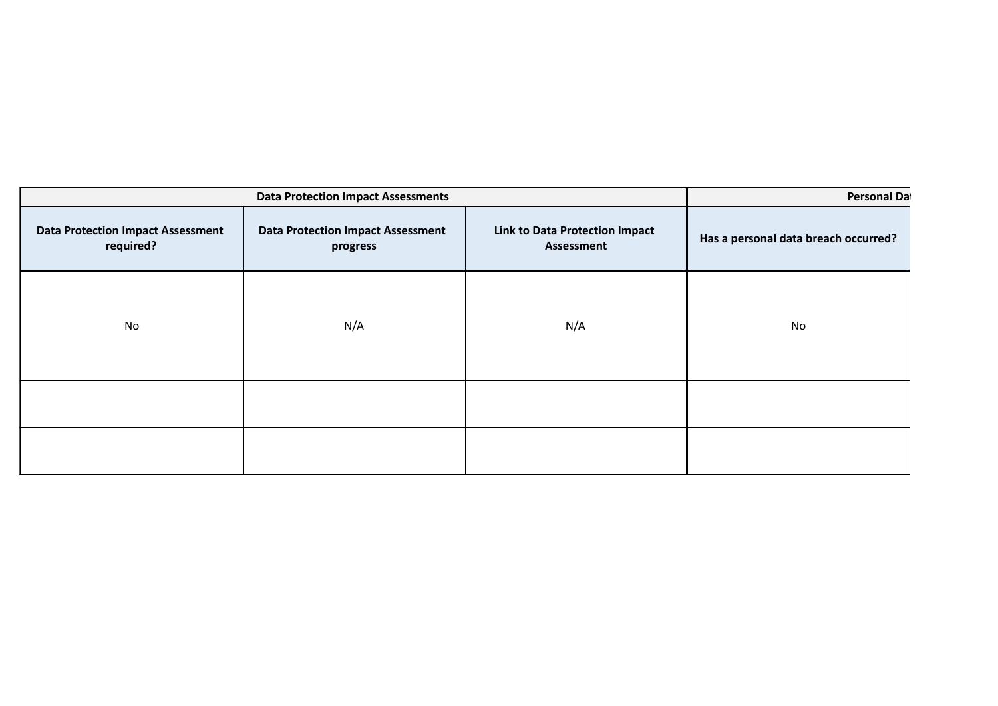| <b>Data Protection Impact Assessments</b>             |                                                      |                                                     | Personal Da                          |
|-------------------------------------------------------|------------------------------------------------------|-----------------------------------------------------|--------------------------------------|
| <b>Data Protection Impact Assessment</b><br>required? | <b>Data Protection Impact Assessment</b><br>progress | <b>Link to Data Protection Impact</b><br>Assessment | Has a personal data breach occurred? |
| No                                                    | N/A                                                  | N/A                                                 | No                                   |
|                                                       |                                                      |                                                     |                                      |
|                                                       |                                                      |                                                     |                                      |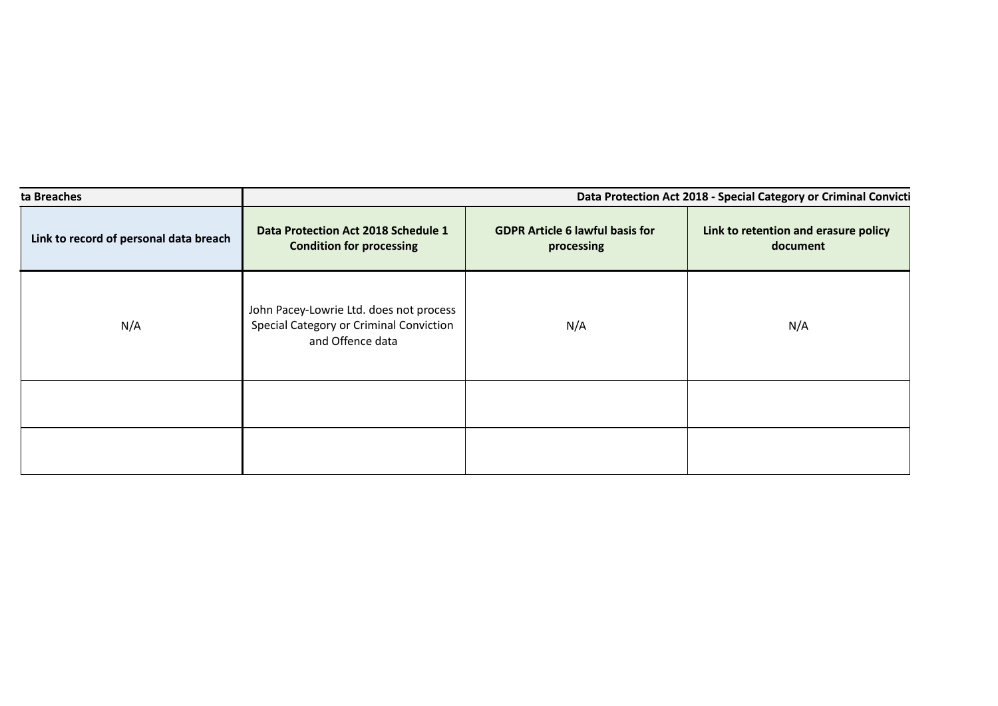| ta Breaches                            | Data Protection Act 2018 - Special Category or Criminal Convicti                                       |                                                      |                                                  |
|----------------------------------------|--------------------------------------------------------------------------------------------------------|------------------------------------------------------|--------------------------------------------------|
| Link to record of personal data breach | Data Protection Act 2018 Schedule 1<br><b>Condition for processing</b>                                 | <b>GDPR Article 6 lawful basis for</b><br>processing | Link to retention and erasure policy<br>document |
| N/A                                    | John Pacey-Lowrie Ltd. does not process<br>Special Category or Criminal Conviction<br>and Offence data | N/A                                                  | N/A                                              |
|                                        |                                                                                                        |                                                      |                                                  |
|                                        |                                                                                                        |                                                      |                                                  |